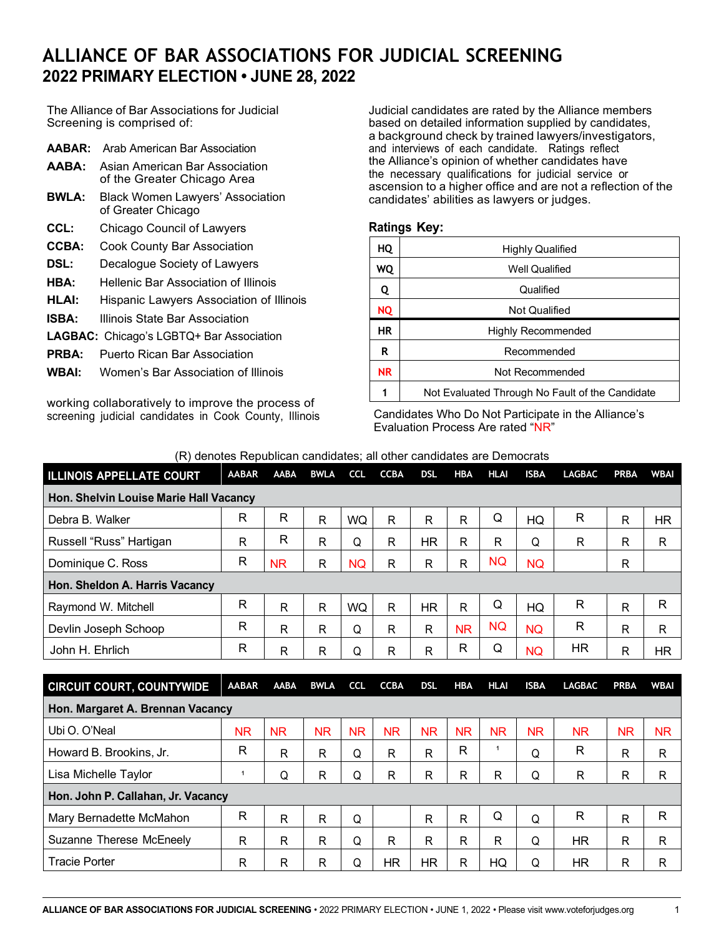## **ALLIANCE OF BAR ASSOCIATIONS FOR JUDICIAL SCREENING 2022 PRIMARY ELECTION • JUNE 28, 2022**

The Alliance of Bar Associations for Judicial Screening is comprised of:

| AABAR:       | Arab American Bar Association                                 |
|--------------|---------------------------------------------------------------|
| AABA:        | Asian American Bar Association<br>of the Greater Chicago Area |
| <b>BWLA:</b> | <b>Black Women Lawyers' Association</b><br>of Greater Chicago |
| CCL:         | Chicago Council of Lawyers                                    |
| <b>CCBA:</b> | Cook County Bar Association                                   |
| DSL:         | Decalogue Society of Lawyers                                  |
| HBA:         | Hellenic Bar Association of Illinois                          |
| HLAI:        | Hispanic Lawyers Association of Illinois                      |
| <b>ISBA:</b> | Illinois State Bar Association                                |
|              |                                                               |

- **LAGBAC:** Chicago's LGBTQ+ Bar Association
- **PRBA:** Puerto Rican Bar Association
- **WBAI:** Women's Bar Association of Illinois

working collaboratively to improve the process of screening judicial candidates in Cook County, Illinois

Judicial candidates are rated by the Alliance members based on detailed information supplied by candidates, a background check by trained lawyers/investigators, and interviews of each candidate. Ratings reflect the Alliance's opinion of whether candidates have the necessary qualifications for judicial service or ascension to a higher office and are not a reflection of the candidates' abilities as lawyers or judges.

## **Ratings Key:**

| HQ        | <b>Highly Qualified</b>                         |
|-----------|-------------------------------------------------|
| WQ        | <b>Well Qualified</b>                           |
| Q         | Qualified                                       |
| NQ        | <b>Not Qualified</b>                            |
| ΗR        | Highly Recommended                              |
| R         | Recommended                                     |
| <b>NR</b> | Not Recommended                                 |
| 1         | Not Evaluated Through No Fault of the Candidate |

Candidates Who Do Not Participate in the Alliance's Evaluation Process Are rated "NR"

(R) denotes Republican candidates; all other candidates are Democrats

| <b>ILLINOIS APPELLATE COURT</b>        | <b>AABAR</b> | <b>AABA</b>  | <b>BWLA</b> | <b>CCL</b> | <b>CCBA</b> | <b>DSL</b> | <b>HBA</b> | <b>HLAI</b> | <b>ISBA</b> | <b>LAGBAC</b> | <b>PRBA</b> | <b>WBAI</b> |
|----------------------------------------|--------------|--------------|-------------|------------|-------------|------------|------------|-------------|-------------|---------------|-------------|-------------|
| Hon. Shelvin Louise Marie Hall Vacancy |              |              |             |            |             |            |            |             |             |               |             |             |
| Debra B. Walker                        | R            | R            | R           | <b>WQ</b>  | R.          | R          | R          | Q           | HQ          | R             | R           | <b>HR</b>   |
| Russell "Russ" Hartigan                | R            | R            | R           | Q          | R           | <b>HR</b>  | R          | R           | Q           | R             | R           | R           |
| Dominique C. Ross                      | R            | <b>NR</b>    | R           | <b>NQ</b>  | R           | R          | R          | <b>NQ</b>   | <b>NQ</b>   |               | R           |             |
| Hon. Sheldon A. Harris Vacancy         |              |              |             |            |             |            |            |             |             |               |             |             |
| Raymond W. Mitchell                    | $\mathsf{R}$ | R            | R           | <b>WQ</b>  | R.          | <b>HR</b>  | R          | Q           | HQ          | R             | R           | R           |
| Devlin Joseph Schoop                   | R            | R            | R           | Q          | R           | R          | <b>NR</b>  | <b>NQ</b>   | <b>NQ</b>   | R             | R           | R           |
| John H. Ehrlich                        | R            | $\mathsf{R}$ | R           | Q          | R           | R          | R          | Q           | <b>NQ</b>   | HR.           | R           | ΗR          |

| <b>CIRCUIT COURT, COUNTYWIDE</b>   | <b>AABAR</b> | <b>AABA</b> | <b>BWLA</b> | <b>CCL</b> | <b>CCBA</b> | <b>DSL</b> | <b>HBA</b> | <b>HLAI</b> | <b>ISBA</b> | <b>LAGBAC</b> | <b>PRBA</b>  | <b>WBAI</b> |
|------------------------------------|--------------|-------------|-------------|------------|-------------|------------|------------|-------------|-------------|---------------|--------------|-------------|
| Hon. Margaret A. Brennan Vacancy   |              |             |             |            |             |            |            |             |             |               |              |             |
| Ubi O. O'Neal                      | ΝR           | <b>NR</b>   | <b>NR</b>   | <b>NR</b>  | <b>NR</b>   | <b>NR</b>  | <b>NR</b>  | NR.         | <b>NR</b>   | <b>NR</b>     | ΝR           | <b>NR</b>   |
| Howard B. Brookins, Jr.            | R            | R           | R           | Q          | R           | R          | R          |             | Q           | R             | $\mathsf{R}$ | R           |
| Lisa Michelle Taylor               |              | Q           | R           | Q          | R           | R          | R          | R           | Q           | R             | R            | R           |
| Hon. John P. Callahan, Jr. Vacancy |              |             |             |            |             |            |            |             |             |               |              |             |
| Mary Bernadette McMahon            | $\mathsf{R}$ | R           | R           | Q          |             | R          | R          | Q           | Q           | R             | $\mathsf{R}$ | R           |
| Suzanne Therese McEneely           | R            | R           | R           | Q          | R           | R          | R          | R           | Q           | <b>HR</b>     | R            | R           |
| <b>Tracie Porter</b>               | R            | R           | R           | Q          | HR          | HR.        | R          | HQ          | Q           | HR            | R            | R           |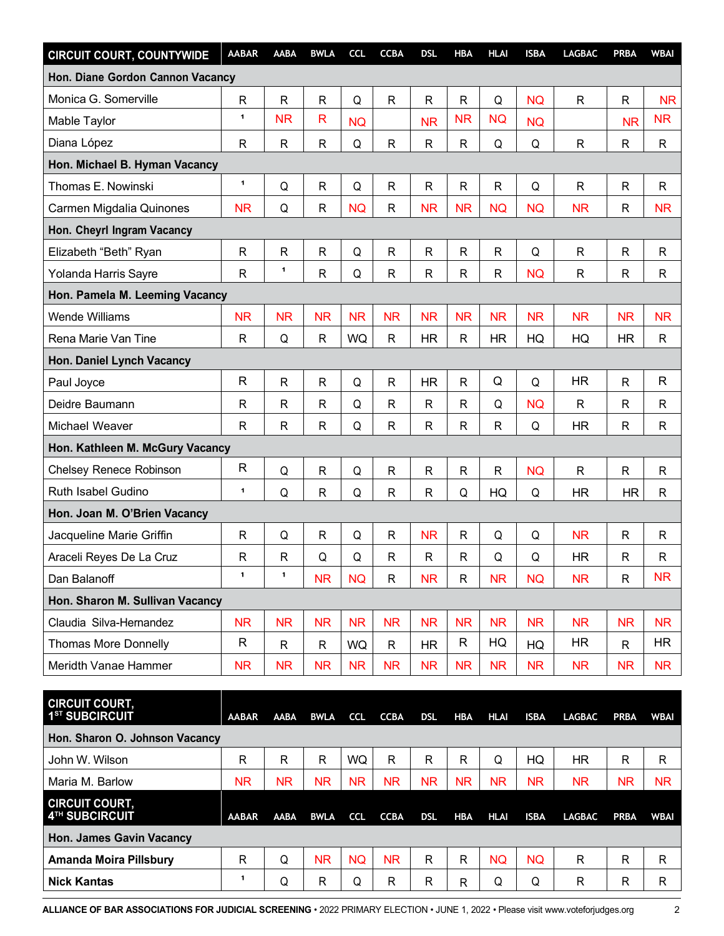| <b>CIRCUIT COURT, COUNTYWIDE</b> | <b>AABAR</b> | <b>AABA</b>  | <b>BWLA</b>  | <b>CCL</b> | <b>CCBA</b>  | <b>DSL</b>   | <b>HBA</b>   | <b>HLAI</b> | <b>ISBA</b> | <b>LAGBAC</b> | <b>PRBA</b>  | <b>WBAI</b>  |
|----------------------------------|--------------|--------------|--------------|------------|--------------|--------------|--------------|-------------|-------------|---------------|--------------|--------------|
| Hon. Diane Gordon Cannon Vacancy |              |              |              |            |              |              |              |             |             |               |              |              |
| Monica G. Somerville             | $\mathsf{R}$ | $\mathsf{R}$ | $\mathsf{R}$ | Q          | $\mathsf{R}$ | R            | R            | Q           | <b>NQ</b>   | $\mathsf{R}$  | R            | <b>NR</b>    |
| Mable Taylor                     | $\mathbf{1}$ | <b>NR</b>    | R            | <b>NQ</b>  |              | <b>NR</b>    | <b>NR</b>    | <b>NQ</b>   | <b>NQ</b>   |               | <b>NR</b>    | <b>NR</b>    |
| Diana López                      | $\mathsf{R}$ | $\mathsf{R}$ | $\mathsf{R}$ | Q          | $\mathsf{R}$ | R            | R            | Q           | Q           | $\mathsf{R}$  | R            | $\mathsf{R}$ |
| Hon. Michael B. Hyman Vacancy    |              |              |              |            |              |              |              |             |             |               |              |              |
| Thomas E. Nowinski               | 1            | Q            | $\mathsf{R}$ | Q          | $\mathsf{R}$ | R            | R            | R           | Q           | $\mathsf{R}$  | $\mathsf{R}$ | $\mathsf{R}$ |
| Carmen Migdalia Quinones         | <b>NR</b>    | Q            | $\mathsf{R}$ | <b>NQ</b>  | $\mathsf{R}$ | <b>NR</b>    | <b>NR</b>    | <b>NQ</b>   | <b>NQ</b>   | <b>NR</b>     | $\mathsf{R}$ | <b>NR</b>    |
| Hon. Cheyrl Ingram Vacancy       |              |              |              |            |              |              |              |             |             |               |              |              |
| Elizabeth "Beth" Ryan            | $\mathsf{R}$ | $\mathsf{R}$ | $\mathsf{R}$ | Q          | $\mathsf{R}$ | R            | R            | R           | Q           | $\mathsf{R}$  | $\mathsf{R}$ | R            |
| Yolanda Harris Sayre             | R            | 1            | $\mathsf{R}$ | Q          | $\mathsf{R}$ | R            | R            | R           | <b>NQ</b>   | $\mathsf{R}$  | R            | R            |
| Hon. Pamela M. Leeming Vacancy   |              |              |              |            |              |              |              |             |             |               |              |              |
| <b>Wende Williams</b>            | <b>NR</b>    | <b>NR</b>    | <b>NR</b>    | <b>NR</b>  | <b>NR</b>    | <b>NR</b>    | <b>NR</b>    | <b>NR</b>   | <b>NR</b>   | <b>NR</b>     | <b>NR</b>    | <b>NR</b>    |
| Rena Marie Van Tine              | $\mathsf{R}$ | Q            | $\mathsf{R}$ | <b>WQ</b>  | $\mathsf{R}$ | <b>HR</b>    | R            | <b>HR</b>   | HQ          | HQ            | <b>HR</b>    | $\mathsf{R}$ |
| Hon. Daniel Lynch Vacancy        |              |              |              |            |              |              |              |             |             |               |              |              |
| Paul Joyce                       | $\mathsf{R}$ | $\mathsf{R}$ | $\mathsf{R}$ | Q          | $\mathsf{R}$ | <b>HR</b>    | R            | Q           | Q           | <b>HR</b>     | $\mathsf{R}$ | R            |
| Deidre Baumann                   | R            | $\mathsf R$  | $\mathsf R$  | Q          | R            | R            | R            | Q           | <b>NQ</b>   | R             | R            | R            |
| Michael Weaver                   | R            | $\mathsf{R}$ | R            | Q          | $\mathsf{R}$ | R            | R            | R           | Q           | <b>HR</b>     | $\mathsf{R}$ | R            |
| Hon. Kathleen M. McGury Vacancy  |              |              |              |            |              |              |              |             |             |               |              |              |
| Chelsey Renece Robinson          | $\mathsf{R}$ | Q            | $\mathsf{R}$ | Q          | $\mathsf{R}$ | R            | R            | R           | <b>NQ</b>   | $\mathsf{R}$  | $\mathsf{R}$ | R            |
| Ruth Isabel Gudino               | 1            | Q            | $\mathsf{R}$ | Q          | $\mathsf{R}$ | $\mathsf{R}$ | Q            | HQ          | Q           | <b>HR</b>     | <b>HR</b>    | R            |
| Hon. Joan M. O'Brien Vacancy     |              |              |              |            |              |              |              |             |             |               |              |              |
| Jacqueline Marie Griffin         | $\mathsf{R}$ | Q            | $\mathsf{R}$ | Q          | ${\sf R}$    | <b>NR</b>    | R            | Q           | Q           | <b>NR</b>     | $\mathsf{R}$ | $\mathsf{R}$ |
| Araceli Reyes De La Cruz         | R            | $\mathsf{R}$ | Q            | Q          | $\mathsf{R}$ | $\mathsf{R}$ | R            | Q           | Q           | <b>HR</b>     | $\mathsf{R}$ | R            |
| Dan Balanoff                     | $\mathbf{1}$ | 1            | <b>NR</b>    | <b>NQ</b>  | ${\sf R}$    | <b>NR</b>    | R            | <b>NR</b>   | <b>NQ</b>   | <b>NR</b>     | ${\sf R}$    | <b>NR</b>    |
| Hon. Sharon M. Sullivan Vacancy  |              |              |              |            |              |              |              |             |             |               |              |              |
| Claudia Silva-Hernandez          | <b>NR</b>    | <b>NR</b>    | <b>NR</b>    | <b>NR</b>  | <b>NR</b>    | <b>NR</b>    | <b>NR</b>    | <b>NR</b>   | <b>NR</b>   | <b>NR</b>     | <b>NR</b>    | <b>NR</b>    |
| <b>Thomas More Donnelly</b>      | R            | R            | R            | WQ         | R            | <b>HR</b>    | $\mathsf{R}$ | HQ          | HQ          | HR.           | R            | HR.          |
| Meridth Vanae Hammer             | <b>NR</b>    | <b>NR</b>    | <b>NR</b>    | <b>NR</b>  | <b>NR</b>    | <b>NR</b>    | <b>NR</b>    | <b>NR</b>   | <b>NR</b>   | <b>NR</b>     | <b>NR</b>    | <b>NR</b>    |

| <b>CIRCUIT COURT,</b><br>1 <sup>ST</sup> SUBCIRCUIT | <b>AABAR</b> | <b>AABA</b> | <b>BWLA</b> | <b>CCL</b> | <b>CCBA</b> | <b>DSL</b> | <b>HBA</b> | <b>HLAI</b> | <b>ISBA</b> | <b>LAGBAC</b> | <b>PRBA</b> | <b>WBAI</b> |
|-----------------------------------------------------|--------------|-------------|-------------|------------|-------------|------------|------------|-------------|-------------|---------------|-------------|-------------|
| Hon. Sharon O. Johnson Vacancy                      |              |             |             |            |             |            |            |             |             |               |             |             |
| John W. Wilson                                      | R            | R           | R           | <b>WQ</b>  | R           | R          | R          | Q           | HQ          | <b>HR</b>     | R           | R           |
| Maria M. Barlow                                     | ΝR           | NR.         | <b>NR</b>   | NR.        | <b>NR</b>   | <b>NR</b>  | <b>NR</b>  | <b>NR</b>   | ΝR          | ΝR            | <b>NR</b>   | <b>NR</b>   |
| <b>CIRCUIT COURT,</b><br>4TH SUBCIRCUIT             | <b>AABAR</b> | <b>AABA</b> | <b>BWLA</b> | <b>CCL</b> | <b>CCBA</b> | <b>DSL</b> | <b>HBA</b> | <b>HLAI</b> | <b>ISBA</b> | <b>LAGBAC</b> | <b>PRBA</b> | <b>WBAI</b> |
| <b>Hon. James Gavin Vacancy</b>                     |              |             |             |            |             |            |            |             |             |               |             |             |
| <b>Amanda Moira Pillsbury</b>                       | R            | Q           | <b>NR</b>   | <b>NQ</b>  | <b>NR</b>   | R          | R          | <b>NQ</b>   | NQ          | R             | R           | R           |
| <b>Nick Kantas</b>                                  |              | Q           | R           | Q          | R           | R          | R          | Q           | Q           | R             | R           | R           |

**ALLIANCE OF BAR ASSOCIATIONS FOR JUDICIAL SCREENING** • 2022 PRIMARY ELECTION • JUNE 1, 2022 • Please visit [www.voteforjudges.org](http://www.voteforjudges.org/) 2

n۳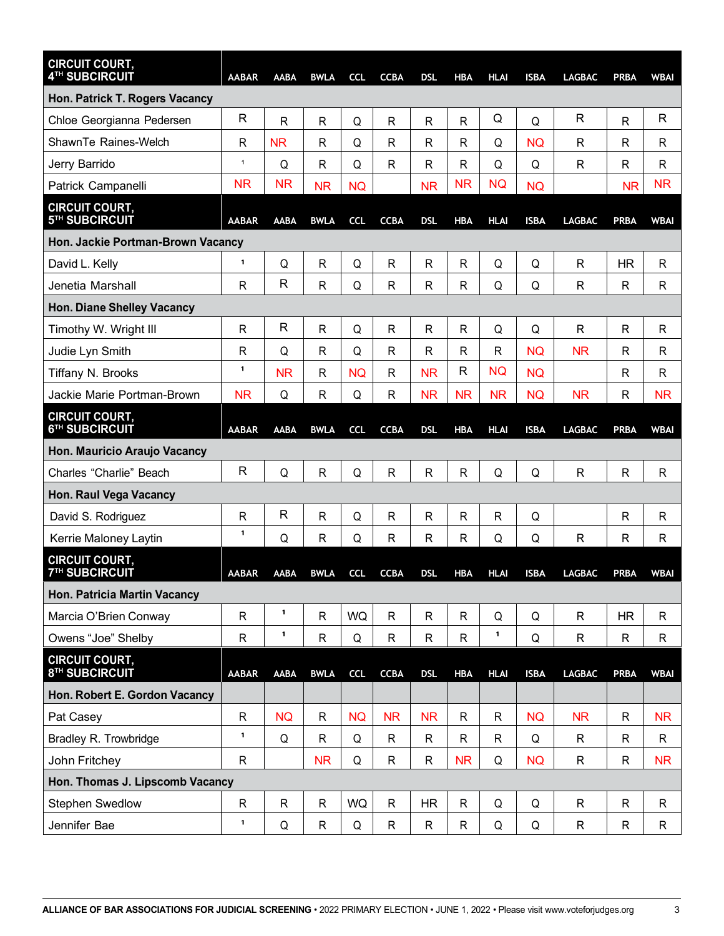| <b>CIRCUIT COURT,</b><br>4TH SUBCIRCUIT             | <b>AABAR</b> | <b>AABA</b>  | <b>BWLA</b>    | <b>CCL</b> | <b>CCBA</b>  | <b>DSL</b>   | <b>HBA</b>   | <b>HLAI</b>  | <b>ISBA</b> | <b>LAGBAC</b> | PRBA         | <b>WBAI</b>  |
|-----------------------------------------------------|--------------|--------------|----------------|------------|--------------|--------------|--------------|--------------|-------------|---------------|--------------|--------------|
| Hon. Patrick T. Rogers Vacancy                      |              |              |                |            |              |              |              |              |             |               |              |              |
| Chloe Georgianna Pedersen                           | $\mathsf{R}$ | R            | $\mathsf{R}$   | Q          | R            | R            | R            | Q            | Q           | R             | $\mathsf{R}$ | R            |
| ShawnTe Raines-Welch                                | R            | <b>NR</b>    | $\mathsf{R}$   | Q          | R            | R            | R            | Q            | <b>NQ</b>   | R             | R            | R            |
| Jerry Barrido                                       | $\mathbf{1}$ | Q            | R              | Q          | R            | R            | R            | Q            | Q           | R             | $\mathsf{R}$ | R            |
| Patrick Campanelli                                  | <b>NR</b>    | <b>NR</b>    | <b>NR</b>      | <b>NQ</b>  |              | <b>NR</b>    | <b>NR</b>    | <b>NQ</b>    | <b>NQ</b>   |               | <b>NR</b>    | ΝR           |
| <b>CIRCUIT COURT,</b><br>5TH SUBCIRCUIT             | <b>AABAR</b> | <b>AABA</b>  | <b>BWLA</b>    | <b>CCL</b> | <b>CCBA</b>  | <b>DSL</b>   | <b>HBA</b>   | <b>HLAI</b>  | <b>ISBA</b> | <b>LAGBAC</b> | PRBA         | <b>WBAI</b>  |
| Hon. Jackie Portman-Brown Vacancy                   |              |              |                |            |              |              |              |              |             |               |              |              |
| David L. Kelly                                      | 1            | Q            | $\overline{R}$ | Q          | R            | R            | R            | Q            | Q           | R             | <b>HR</b>    | R            |
| Jenetia Marshall                                    | R            | $\mathsf{R}$ | $\mathsf{R}$   | Q          | R            | R            | R            | Q            | Q           | R             | R            | R            |
| <b>Hon. Diane Shelley Vacancy</b>                   |              |              |                |            |              |              |              |              |             |               |              |              |
| Timothy W. Wright III                               | R            | $\mathsf{R}$ | $\mathsf{R}$   | Q          | R            | R            | R            | Q            | Q           | $\mathsf{R}$  | R            | $\mathsf{R}$ |
| Judie Lyn Smith                                     | R            | Q            | R              | Q          | R            | R            | R            | R            | <b>NQ</b>   | <b>NR</b>     | $\mathsf{R}$ | R            |
| Tiffany N. Brooks                                   | 1            | <b>NR</b>    | $\mathsf{R}$   | <b>NQ</b>  | R            | <b>NR</b>    | R            | <b>NQ</b>    | <b>NQ</b>   |               | R            | R            |
| Jackie Marie Portman-Brown                          | <b>NR</b>    | Q            | R              | Q          | R            | <b>NR</b>    | <b>NR</b>    | <b>NR</b>    | <b>NQ</b>   | <b>NR</b>     | $\mathsf{R}$ | <b>NR</b>    |
| <b>CIRCUIT COURT,</b><br>6TH SUBCIRCUIT             | <b>AABAR</b> | <b>AABA</b>  | <b>BWLA</b>    | <b>CCL</b> | <b>CCBA</b>  | <b>DSL</b>   | <b>HBA</b>   | <b>HLAI</b>  | <b>ISBA</b> | <b>LAGBAC</b> | PRBA         | <b>WBAI</b>  |
| Hon. Mauricio Araujo Vacancy                        |              |              |                |            |              |              |              |              |             |               |              |              |
| Charles "Charlie" Beach                             | R            | Q            | $\mathsf{R}$   | Q          | R            | R            | R            | Q            | Q           | $\mathsf{R}$  | $\mathsf{R}$ | R            |
| Hon. Raul Vega Vacancy                              |              |              |                |            |              |              |              |              |             |               |              |              |
| David S. Rodriguez                                  | R            | R            | $\mathsf{R}$   | Q          | R            | R            | R            | $\mathsf{R}$ | Q           |               | R            | R            |
| Kerrie Maloney Laytin                               | $\mathbf{1}$ | Q            | $\mathsf{R}$   | Q          | R            | R            | R            | Q            | Q           | $\mathsf{R}$  | R            | R            |
| <b>CIRCUIT COURT,</b><br><b>7TH SUBCIRCUIT</b>      | <b>AABAR</b> | AABA         | <b>BWLA</b>    | <b>CCL</b> | <b>CCBA</b>  | <b>DSL</b>   | <b>HBA</b>   | <b>HLAI</b>  | <b>ISBA</b> | <b>LAGBAC</b> | PRBA         | <b>WBAI</b>  |
| Hon. Patricia Martin Vacancy                        |              |              |                |            |              |              |              |              |             |               |              |              |
| Marcia O'Brien Conway                               | $\mathsf{R}$ | 1            | $\mathsf{R}$   | <b>WQ</b>  | $\mathsf{R}$ | $\mathsf{R}$ | $\mathsf{R}$ | Q            | Q           | $\mathsf{R}$  | <b>HR</b>    | R            |
| Owens "Joe" Shelby                                  | R            | 1            | $\mathsf{R}$   | Q          | $\mathsf{R}$ | R            | R            | $\mathbf{1}$ | Q           | $\mathsf{R}$  | $\mathsf{R}$ | R            |
| <b>CIRCUIT COURT,</b><br>8 <sup>TH</sup> SUBCIRCUIT | <b>AABAR</b> | AABA         | <b>BWLA</b>    | <b>CCL</b> | <b>CCBA</b>  | <b>DSL</b>   | <b>HBA</b>   | <b>HLAI</b>  | <b>ISBA</b> | <b>LAGBAC</b> | <b>PRBA</b>  | <b>WBAI</b>  |
| Hon. Robert E. Gordon Vacancy                       |              |              |                |            |              |              |              |              |             |               |              |              |
| Pat Casey                                           | $\mathsf{R}$ | <b>NQ</b>    | $\mathsf{R}$   | <b>NQ</b>  | <b>NR</b>    | <b>NR</b>    | R            | $\mathsf{R}$ | <b>NQ</b>   | <b>NR</b>     | $\mathsf{R}$ | <b>NR</b>    |
| Bradley R. Trowbridge                               | $\mathbf 1$  | Q            | $\mathsf{R}$   | Q          | $\mathsf{R}$ | $\mathsf{R}$ | R            | $\mathsf{R}$ | Q           | $\mathsf{R}$  | R            | R            |
| John Fritchey                                       | $\mathsf{R}$ |              | <b>NR</b>      | Q          | R            | R            | <b>NR</b>    | Q            | <b>NQ</b>   | $\mathsf{R}$  | R            | <b>NR</b>    |
| Hon. Thomas J. Lipscomb Vacancy                     |              |              |                |            |              |              |              |              |             |               |              |              |
| Stephen Swedlow                                     | ${\sf R}$    | $\mathsf{R}$ | $\mathsf R$    | <b>WQ</b>  | ${\sf R}$    | HR           | R            | Q            | Q           | $\mathsf{R}$  | $\mathsf{R}$ | $\mathsf{R}$ |
| Jennifer Bae                                        | 1            | Q            | R              | Q          | R            | R            | R            | Q            | Q           | $\mathsf{R}$  | R            | R            |